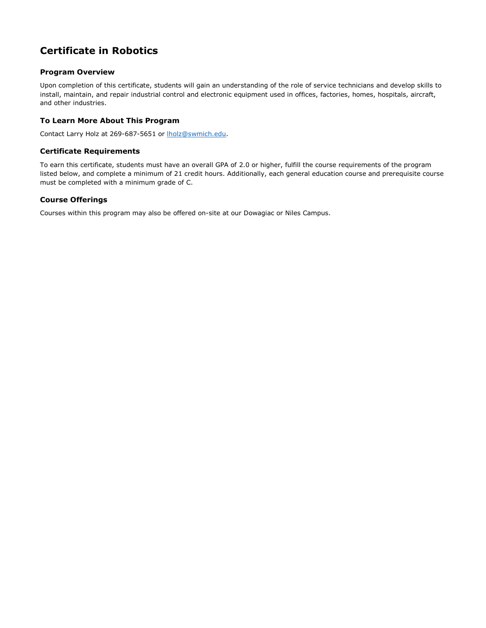# **Certificate in Robotics**

## **Program Overview**

Upon completion of this certificate, students will gain an understanding of the role of service technicians and develop skills to install, maintain, and repair industrial control and electronic equipment used in offices, factories, homes, hospitals, aircraft, and other industries.

### **To Learn More About This Program**

Contact Larry Holz at 269-687-5651 or [lholz@swmich.edu.](mailto:lholz@swmich.edu)

### **Certificate Requirements**

To earn this certificate, students must have an overall GPA of 2.0 or higher, fulfill the course requirements of the program listed below, and complete a minimum of 21 credit hours. Additionally, each general education course and prerequisite course must be completed with a minimum grade of C.

#### **Course Offerings**

Courses within this program may also be offered on-site at our Dowagiac or Niles Campus.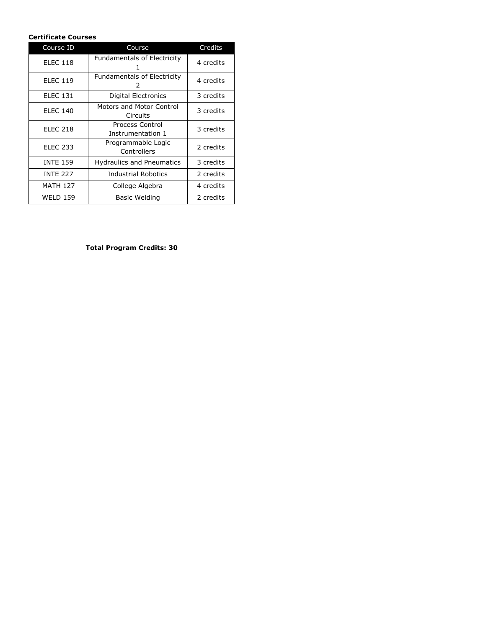## **Certificate Courses**

| Course ID       | Course                                  | Credits   |
|-----------------|-----------------------------------------|-----------|
| <b>ELEC 118</b> | <b>Fundamentals of Electricity</b>      | 4 credits |
| <b>ELEC 119</b> | <b>Fundamentals of Electricity</b><br>2 | 4 credits |
| <b>ELEC 131</b> | <b>Digital Electronics</b>              | 3 credits |
| <b>ELEC 140</b> | Motors and Motor Control<br>Circuits    | 3 credits |
| <b>ELEC 218</b> | Process Control<br>Instrumentation 1    | 3 credits |
| <b>ELEC 233</b> | Programmable Logic<br>Controllers       | 2 credits |
| <b>INTE 159</b> | <b>Hydraulics and Pneumatics</b>        | 3 credits |
| <b>INTE 227</b> | <b>Industrial Robotics</b>              | 2 credits |
| <b>MATH 127</b> | College Algebra                         | 4 credits |
| <b>WELD 159</b> | Basic Welding                           | 2 credits |

**Total Program Credits: 30**